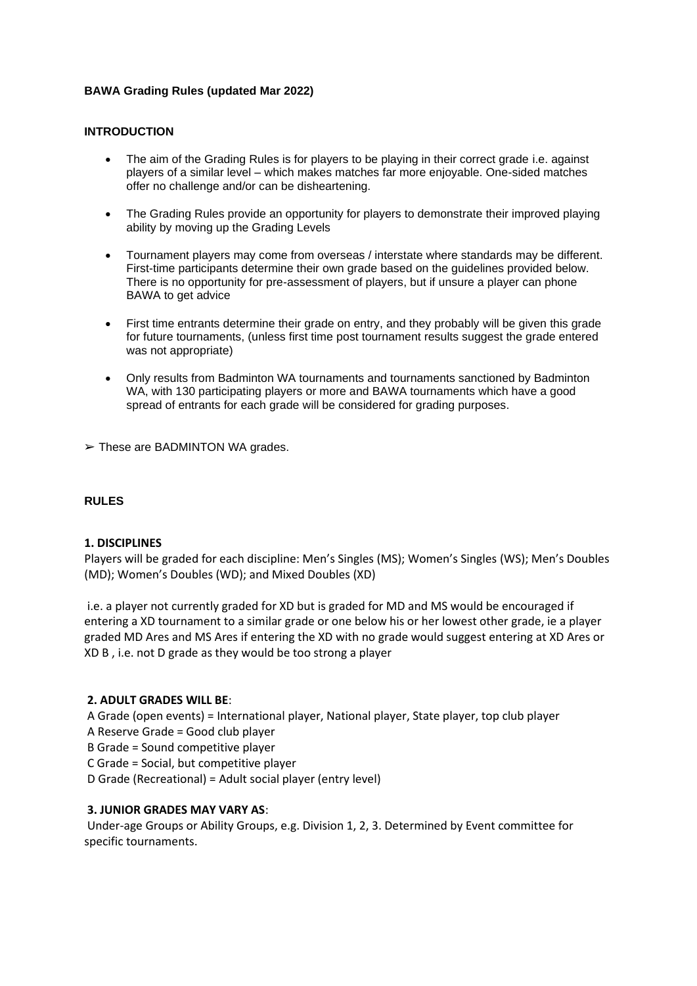# **BAWA Grading Rules (updated Mar 2022)**

### **INTRODUCTION**

- The aim of the Grading Rules is for players to be playing in their correct grade i.e. against players of a similar level – which makes matches far more enjoyable. One-sided matches offer no challenge and/or can be disheartening.
- The Grading Rules provide an opportunity for players to demonstrate their improved playing ability by moving up the Grading Levels
- Tournament players may come from overseas / interstate where standards may be different. First-time participants determine their own grade based on the guidelines provided below. There is no opportunity for pre-assessment of players, but if unsure a player can phone BAWA to get advice
- First time entrants determine their grade on entry, and they probably will be given this grade for future tournaments, (unless first time post tournament results suggest the grade entered was not appropriate)
- Only results from Badminton WA tournaments and tournaments sanctioned by Badminton WA, with 130 participating players or more and BAWA tournaments which have a good spread of entrants for each grade will be considered for grading purposes.

 $\triangleright$  These are BADMINTON WA grades.

# **RULES**

# **1. DISCIPLINES**

Players will be graded for each discipline: Men's Singles (MS); Women's Singles (WS); Men's Doubles (MD); Women's Doubles (WD); and Mixed Doubles (XD)

i.e. a player not currently graded for XD but is graded for MD and MS would be encouraged if entering a XD tournament to a similar grade or one below his or her lowest other grade, ie a player graded MD Ares and MS Ares if entering the XD with no grade would suggest entering at XD Ares or XD B , i.e. not D grade as they would be too strong a player

# **2. ADULT GRADES WILL BE**:

A Grade (open events) = International player, National player, State player, top club player A Reserve Grade = Good club player

B Grade = Sound competitive player

C Grade = Social, but competitive player

D Grade (Recreational) = Adult social player (entry level)

# **3. JUNIOR GRADES MAY VARY AS**:

Under-age Groups or Ability Groups, e.g. Division 1, 2, 3. Determined by Event committee for specific tournaments.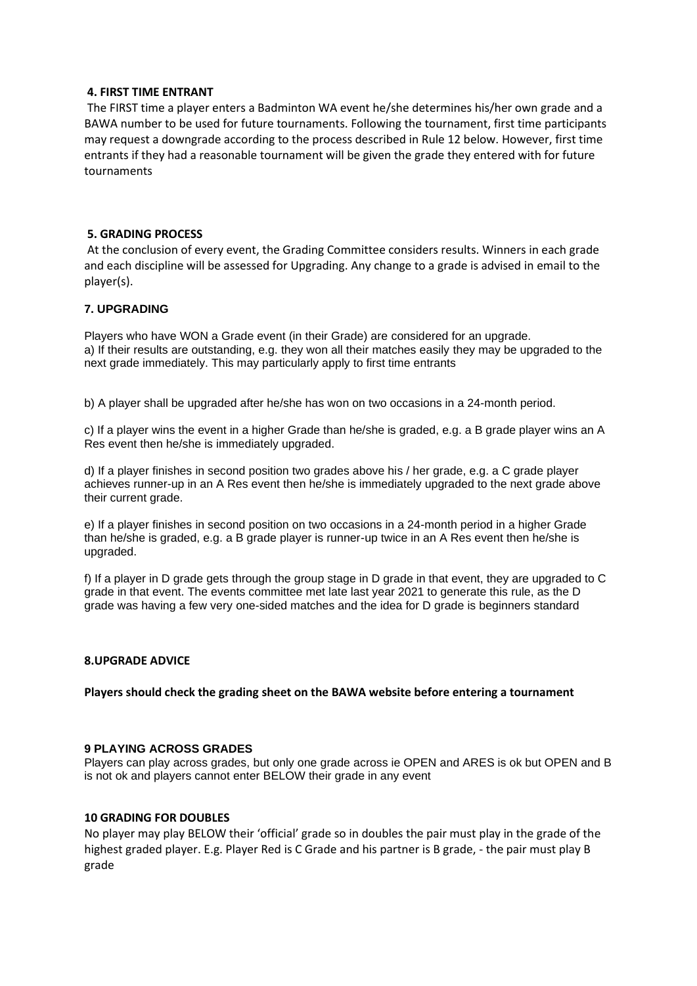### **4. FIRST TIME ENTRANT**

The FIRST time a player enters a Badminton WA event he/she determines his/her own grade and a BAWA number to be used for future tournaments. Following the tournament, first time participants may request a downgrade according to the process described in Rule 12 below. However, first time entrants if they had a reasonable tournament will be given the grade they entered with for future tournaments

### **5. GRADING PROCESS**

At the conclusion of every event, the Grading Committee considers results. Winners in each grade and each discipline will be assessed for Upgrading. Any change to a grade is advised in email to the player(s).

### **7. UPGRADING**

Players who have WON a Grade event (in their Grade) are considered for an upgrade. a) If their results are outstanding, e.g. they won all their matches easily they may be upgraded to the next grade immediately. This may particularly apply to first time entrants

b) A player shall be upgraded after he/she has won on two occasions in a 24-month period.

c) If a player wins the event in a higher Grade than he/she is graded, e.g. a B grade player wins an A Res event then he/she is immediately upgraded.

d) If a player finishes in second position two grades above his / her grade, e.g. a C grade player achieves runner-up in an A Res event then he/she is immediately upgraded to the next grade above their current grade.

e) If a player finishes in second position on two occasions in a 24-month period in a higher Grade than he/she is graded, e.g. a B grade player is runner-up twice in an A Res event then he/she is upgraded.

f) If a player in D grade gets through the group stage in D grade in that event, they are upgraded to C grade in that event. The events committee met late last year 2021 to generate this rule, as the D grade was having a few very one-sided matches and the idea for D grade is beginners standard

#### **8.UPGRADE ADVICE**

**Players should check the grading sheet on the BAWA website before entering a tournament**

### **9 PLAYING ACROSS GRADES**

Players can play across grades, but only one grade across ie OPEN and ARES is ok but OPEN and B is not ok and players cannot enter BELOW their grade in any event

#### **10 GRADING FOR DOUBLES**

No player may play BELOW their 'official' grade so in doubles the pair must play in the grade of the highest graded player. E.g. Player Red is C Grade and his partner is B grade, - the pair must play B grade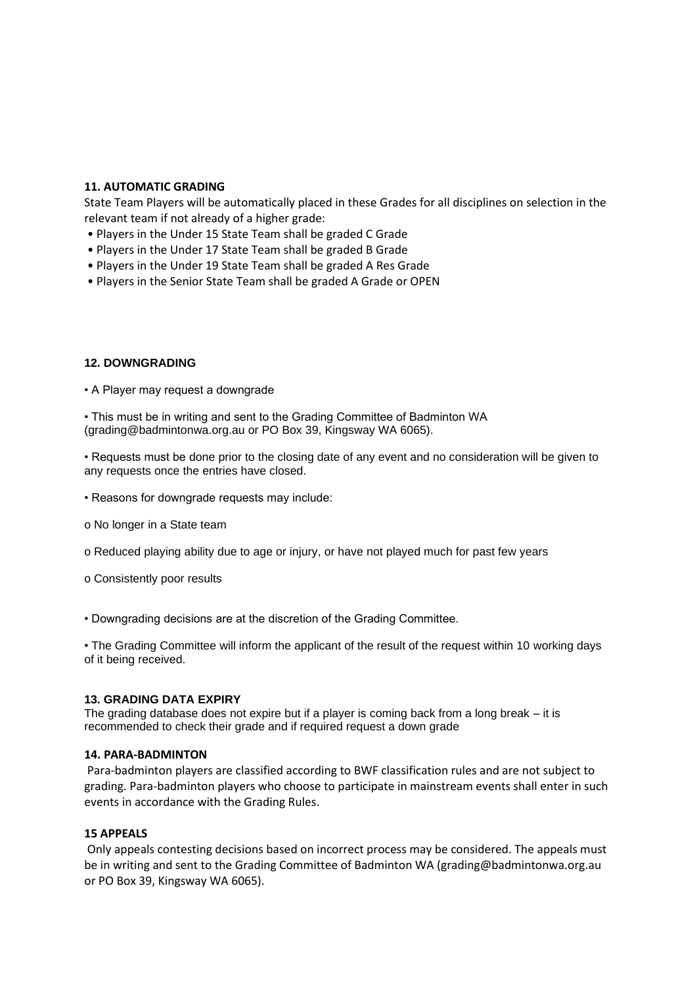# **11. AUTOMATIC GRADING**

State Team Players will be automatically placed in these Grades for all disciplines on selection in the relevant team if not already of a higher grade:

- Players in the Under 15 State Team shall be graded C Grade
- Players in the Under 17 State Team shall be graded B Grade
- Players in the Under 19 State Team shall be graded A Res Grade
- Players in the Senior State Team shall be graded A Grade or OPEN

# **12. DOWNGRADING**

• A Player may request a downgrade

• This must be in writing and sent to the Grading Committee of Badminton WA (grading@badmintonwa.org.au or PO Box 39, Kingsway WA 6065).

• Requests must be done prior to the closing date of any event and no consideration will be given to any requests once the entries have closed.

- Reasons for downgrade requests may include:
- o No longer in a State team
- o Reduced playing ability due to age or injury, or have not played much for past few years
- o Consistently poor results

• Downgrading decisions are at the discretion of the Grading Committee.

• The Grading Committee will inform the applicant of the result of the request within 10 working days of it being received.

# **13. GRADING DATA EXPIRY**

The grading database does not expire but if a player is coming back from a long break – it is recommended to check their grade and if required request a down grade

# **14. PARA-BADMINTON**

Para-badminton players are classified according to BWF classification rules and are not subject to grading. Para-badminton players who choose to participate in mainstream events shall enter in such events in accordance with the Grading Rules.

# **15 APPEALS**

Only appeals contesting decisions based on incorrect process may be considered. The appeals must be in writing and sent to the Grading Committee of Badminton WA (grading@badmintonwa.org.au or PO Box 39, Kingsway WA 6065).